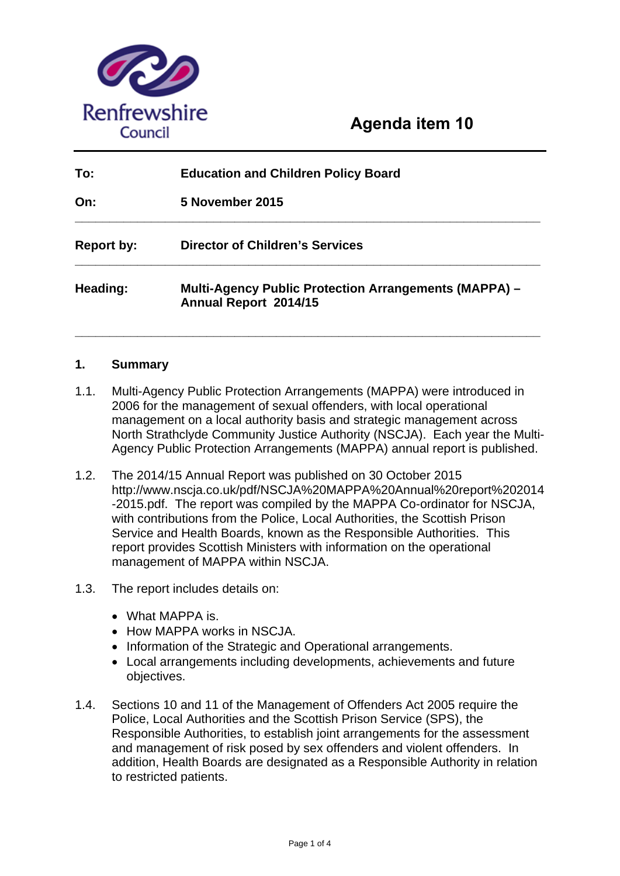

# **Agenda item 10**

| To:               | <b>Education and Children Policy Board</b>                                            |
|-------------------|---------------------------------------------------------------------------------------|
| On:               | <b>5 November 2015</b>                                                                |
| <b>Report by:</b> | <b>Director of Children's Services</b>                                                |
| Heading:          | <b>Multi-Agency Public Protection Arrangements (MAPPA) -</b><br>Annual Report 2014/15 |

# **1. Summary**

1.1. Multi-Agency Public Protection Arrangements (MAPPA) were introduced in 2006 for the management of sexual offenders, with local operational management on a local authority basis and strategic management across North Strathclyde Community Justice Authority (NSCJA). Each year the Multi-Agency Public Protection Arrangements (MAPPA) annual report is published.

- 1.2. The 2014/15 Annual Report was published on 30 October 2015 http://www.nscja.co.uk/pdf/NSCJA%20MAPPA%20Annual%20report%202014 -2015.pdf. The report was compiled by the MAPPA Co-ordinator for NSCJA, with contributions from the Police, Local Authorities, the Scottish Prison Service and Health Boards, known as the Responsible Authorities. This report provides Scottish Ministers with information on the operational management of MAPPA within NSCJA.
- 1.3. The report includes details on:
	- What MAPPA is.
	- How MAPPA works in NSCJA.
	- Information of the Strategic and Operational arrangements.
	- Local arrangements including developments, achievements and future objectives.
- 1.4. Sections 10 and 11 of the Management of Offenders Act 2005 require the Police, Local Authorities and the Scottish Prison Service (SPS), the Responsible Authorities, to establish joint arrangements for the assessment and management of risk posed by sex offenders and violent offenders. In addition, Health Boards are designated as a Responsible Authority in relation to restricted patients.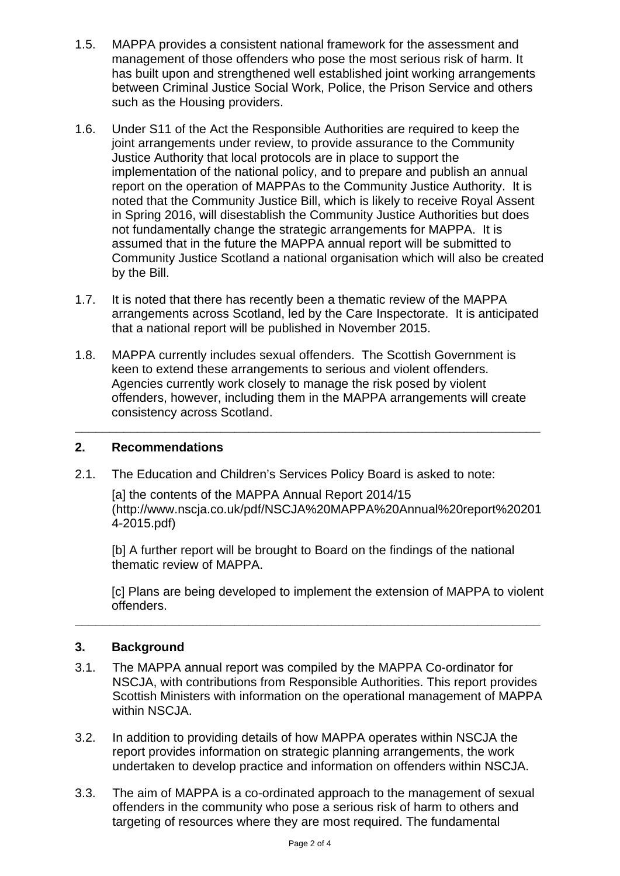- 1.5. MAPPA provides a consistent national framework for the assessment and management of those offenders who pose the most serious risk of harm. It has built upon and strengthened well established joint working arrangements between Criminal Justice Social Work, Police, the Prison Service and others such as the Housing providers.
- 1.6. Under S11 of the Act the Responsible Authorities are required to keep the joint arrangements under review, to provide assurance to the Community Justice Authority that local protocols are in place to support the implementation of the national policy, and to prepare and publish an annual report on the operation of MAPPAs to the Community Justice Authority. It is noted that the Community Justice Bill, which is likely to receive Royal Assent in Spring 2016, will disestablish the Community Justice Authorities but does not fundamentally change the strategic arrangements for MAPPA. It is assumed that in the future the MAPPA annual report will be submitted to Community Justice Scotland a national organisation which will also be created by the Bill.
- 1.7. It is noted that there has recently been a thematic review of the MAPPA arrangements across Scotland, led by the Care Inspectorate. It is anticipated that a national report will be published in November 2015.
- 1.8. MAPPA currently includes sexual offenders. The Scottish Government is keen to extend these arrangements to serious and violent offenders. Agencies currently work closely to manage the risk posed by violent offenders, however, including them in the MAPPA arrangements will create consistency across Scotland.

**\_\_\_\_\_\_\_\_\_\_\_\_\_\_\_\_\_\_\_\_\_\_\_\_\_\_\_\_\_\_\_\_\_\_\_\_\_\_\_\_\_\_\_\_\_\_\_\_\_\_\_\_\_\_\_\_\_\_\_\_\_\_\_\_\_\_\_** 

# **2. Recommendations**

2.1. The Education and Children's Services Policy Board is asked to note:

[a] the contents of the MAPPA Annual Report 2014/15 (http://www.nscja.co.uk/pdf/NSCJA%20MAPPA%20Annual%20report%20201 4-2015.pdf)

[b] A further report will be brought to Board on the findings of the national thematic review of MAPPA.

[c] Plans are being developed to implement the extension of MAPPA to violent offenders.

#### **3. Background**

3.1. The MAPPA annual report was compiled by the MAPPA Co-ordinator for NSCJA, with contributions from Responsible Authorities. This report provides Scottish Ministers with information on the operational management of MAPPA within NSCJA.

- 3.2. In addition to providing details of how MAPPA operates within NSCJA the report provides information on strategic planning arrangements, the work undertaken to develop practice and information on offenders within NSCJA.
- 3.3. The aim of MAPPA is a co-ordinated approach to the management of sexual offenders in the community who pose a serious risk of harm to others and targeting of resources where they are most required. The fundamental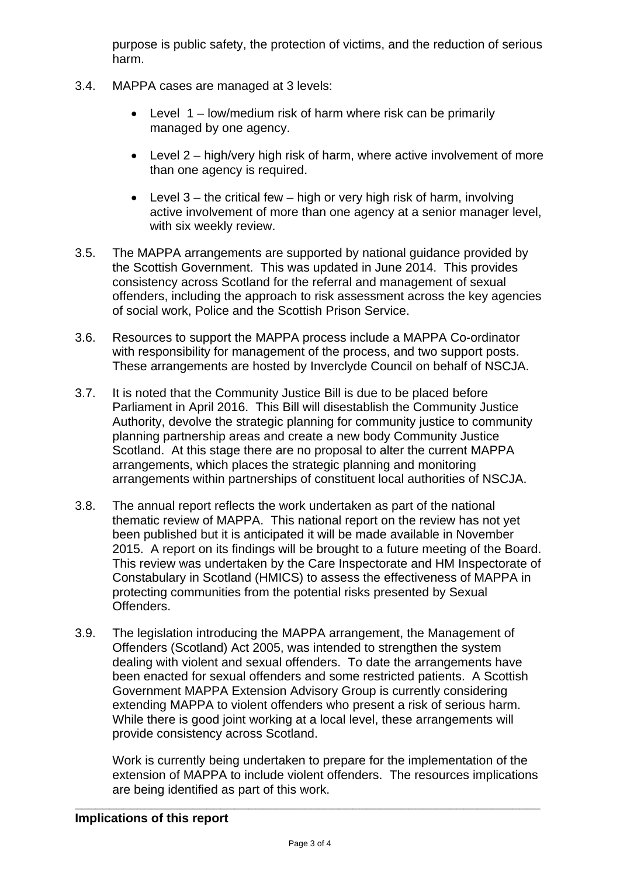purpose is public safety, the protection of victims, and the reduction of serious harm.

- 3.4. MAPPA cases are managed at 3 levels:
	- Level 1 low/medium risk of harm where risk can be primarily managed by one agency.
	- Level 2 high/very high risk of harm, where active involvement of more than one agency is required.
	- $\bullet$  Level 3 the critical few high or very high risk of harm, involving active involvement of more than one agency at a senior manager level, with six weekly review.
- 3.5. The MAPPA arrangements are supported by national guidance provided by the Scottish Government. This was updated in June 2014. This provides consistency across Scotland for the referral and management of sexual offenders, including the approach to risk assessment across the key agencies of social work, Police and the Scottish Prison Service.
- 3.6. Resources to support the MAPPA process include a MAPPA Co-ordinator with responsibility for management of the process, and two support posts. These arrangements are hosted by Inverclyde Council on behalf of NSCJA.
- 3.7. It is noted that the Community Justice Bill is due to be placed before Parliament in April 2016. This Bill will disestablish the Community Justice Authority, devolve the strategic planning for community justice to community planning partnership areas and create a new body Community Justice Scotland. At this stage there are no proposal to alter the current MAPPA arrangements, which places the strategic planning and monitoring arrangements within partnerships of constituent local authorities of NSCJA.
- 3.8. The annual report reflects the work undertaken as part of the national thematic review of MAPPA. This national report on the review has not yet been published but it is anticipated it will be made available in November 2015. A report on its findings will be brought to a future meeting of the Board. This review was undertaken by the Care Inspectorate and HM Inspectorate of Constabulary in Scotland (HMICS) to assess the effectiveness of MAPPA in protecting communities from the potential risks presented by Sexual Offenders.
- 3.9. The legislation introducing the MAPPA arrangement, the Management of Offenders (Scotland) Act 2005, was intended to strengthen the system dealing with violent and sexual offenders. To date the arrangements have been enacted for sexual offenders and some restricted patients. A Scottish Government MAPPA Extension Advisory Group is currently considering extending MAPPA to violent offenders who present a risk of serious harm. While there is good joint working at a local level, these arrangements will provide consistency across Scotland.

Work is currently being undertaken to prepare for the implementation of the extension of MAPPA to include violent offenders. The resources implications are being identified as part of this work.